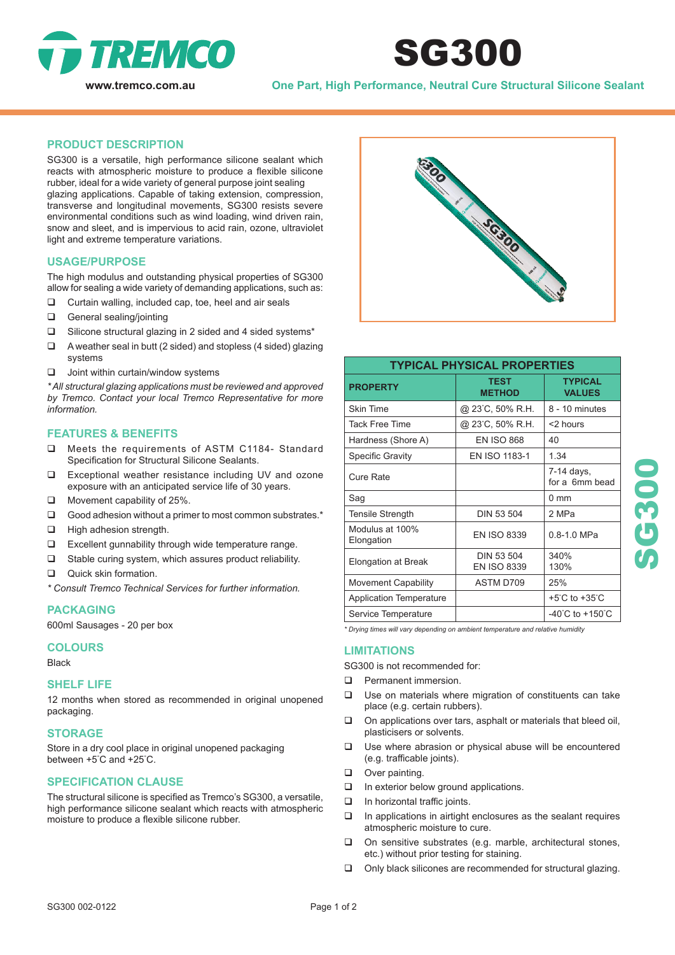

# SG300

**www.tremco.com.au One Part, High Performance, Neutral Cure Structural Silicone Sealant**

# **PRODUCT DESCRIPTION**

SG300 is a versatile, high performance silicone sealant which reacts with atmospheric moisture to produce a flexible silicone rubber, ideal for a wide variety of general purpose joint sealing glazing applications. Capable of taking extension, compression, transverse and longitudinal movements, SG300 resists severe environmental conditions such as wind loading, wind driven rain, snow and sleet, and is impervious to acid rain, ozone, ultraviolet light and extreme temperature variations.

## **USAGE/PURPOSE**

The high modulus and outstanding physical properties of SG300 allow for sealing a wide variety of demanding applications, such as:

- $\Box$  Curtain walling, included cap, toe, heel and air seals
- General sealing/jointing
- $\Box$  Silicone structural glazing in 2 sided and 4 sided systems\*
- $\Box$  A weather seal in butt (2 sided) and stopless (4 sided) glazing systems
- $\Box$  Joint within curtain/window systems

*\* All structural glazing applications must be reviewed and approved by Tremco. Contact your local Tremco Representative for more information.*

## **FEATURES & BENEFITS**

- Meets the requirements of ASTM C1184- Standard Specification for Structural Silicone Sealants.
- Exceptional weather resistance including UV and ozone exposure with an anticipated service life of 30 years.
- Movement capability of 25%.
- $\Box$  Good adhesion without a primer to most common substrates.\*  $\Box$  High adhesion strength.
- 
- Excellent gunnability through wide temperature range.
- $\Box$  Stable curing system, which assures product reliability.
- Quick skin formation.

*\* Consult Tremco Technical Services for further information.*

## **PACKAGING**

600ml Sausages - 20 per box

#### **COLOURS**

Black

### **SHELF LIFE**

12 months when stored as recommended in original unopened packaging.

## **STORAGE**

Store in a dry cool place in original unopened packaging between +5°C and +25°C.

## **SPECIFICATION CLAUSE**

The structural silicone is specified as Tremco's SG300, a versatile, high performance silicone sealant which reacts with atmospheric moisture to produce a flexible silicone rubber.



| <b>TYPICAL PHYSICAL PROPERTIES</b> |                                  |                                     |
|------------------------------------|----------------------------------|-------------------------------------|
| <b>PROPERTY</b>                    | <b>TEST</b><br><b>METHOD</b>     | <b>TYPICAL</b><br><b>VALUES</b>     |
| <b>Skin Time</b>                   | @ 23°C, 50% R.H.                 | 8 - 10 minutes                      |
| <b>Tack Free Time</b>              | @ 23˚C, 50% R.H.                 | <2 hours                            |
| Hardness (Shore A)                 | <b>EN ISO 868</b>                | 40                                  |
| <b>Specific Gravity</b>            | <b>EN ISO 1183-1</b>             | 1.34                                |
| Cure Rate                          |                                  | 7-14 days,<br>for a 6mm bead        |
| Sag                                |                                  | $0 \text{ mm}$                      |
| Tensile Strength                   | DIN 53 504                       | 2 MPa                               |
| Modulus at 100%<br>Elongation      | <b>EN ISO 8339</b>               | $0.8 - 1.0$ MPa                     |
| Elongation at Break                | DIN 53 504<br><b>EN ISO 8339</b> | 340%<br>130%                        |
| <b>Movement Capability</b>         | ASTM D709                        | 25%                                 |
| <b>Application Temperature</b>     |                                  | $+5^{\circ}$ C to $+35^{\circ}$ C   |
| Service Temperature                |                                  | $-40^{\circ}$ C to $+150^{\circ}$ C |

*\* Drying times will vary depending on ambient temperature and relative humidity*

## **LIMITATIONS**

SG300 is not recommended for:

- Permanent immersion.
- $\Box$  Use on materials where migration of constituents can take place (e.g. certain rubbers).
- $\Box$  On applications over tars, asphalt or materials that bleed oil, plasticisers or solvents.
- $\Box$  Use where abrasion or physical abuse will be encountered (e.g. trafficable joints).
- Over painting.
- □ In exterior below ground applications.
- $\Box$  In horizontal traffic joints.
- $\Box$  In applications in airtight enclosures as the sealant requires atmospheric moisture to cure.
- □ On sensitive substrates (e.g. marble, architectural stones, etc.) without prior testing for staining.
- □ Only black silicones are recommended for structural glazing.